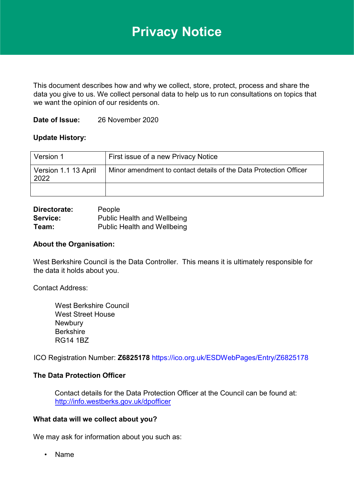# **Privacy Notice**

This document describes how and why we collect, store, protect, process and share the data you give to us. We collect personal data to help us to run consultations on topics that we want the opinion of our residents on.

# **Date of Issue:** 26 November 2020

# **Update History:**

| Version 1                    | First issue of a new Privacy Notice                               |
|------------------------------|-------------------------------------------------------------------|
| Version 1.1 13 April<br>2022 | Minor amendment to contact details of the Data Protection Officer |
|                              |                                                                   |

| Directorate: | People                             |
|--------------|------------------------------------|
| Service:     | <b>Public Health and Wellbeing</b> |
| Team:        | <b>Public Health and Wellbeing</b> |

## **About the Organisation:**

West Berkshire Council is the Data Controller. This means it is ultimately responsible for the data it holds about you.

Contact Address:

West Berkshire Council West Street House **Newbury** Berkshire RG14 1BZ

ICO Registration Number: **Z6825178** <https://ico.org.uk/ESDWebPages/Entry/Z6825178>

## **The Data Protection Officer**

Contact details for the Data Protection Officer at the Council can be found at: <http://info.westberks.gov.uk/dpofficer>

#### **What data will we collect about you?**

We may ask for information about you such as:

• Name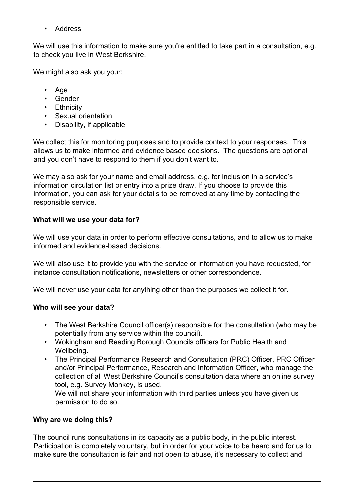• Address

We will use this information to make sure you're entitled to take part in a consultation, e.g. to check you live in West Berkshire.

We might also ask you your:

- Age
- Gender
- Ethnicity
- Sexual orientation
- Disability, if applicable

We collect this for monitoring purposes and to provide context to your responses. This allows us to make informed and evidence based decisions. The questions are optional and you don't have to respond to them if you don't want to.

We may also ask for your name and email address, e.g. for inclusion in a service's information circulation list or entry into a prize draw. If you choose to provide this information, you can ask for your details to be removed at any time by contacting the responsible service.

# **What will we use your data for?**

We will use your data in order to perform effective consultations, and to allow us to make informed and evidence-based decisions.

We will also use it to provide you with the service or information you have requested, for instance consultation notifications, newsletters or other correspondence.

We will never use your data for anything other than the purposes we collect it for.

# **Who will see your data?**

- The West Berkshire Council officer(s) responsible for the consultation (who may be potentially from any service within the council).
- Wokingham and Reading Borough Councils officers for Public Health and Wellbeing.
- The Principal Performance Research and Consultation (PRC) Officer, PRC Officer and/or Principal Performance, Research and Information Officer, who manage the collection of all West Berkshire Council's consultation data where an online survey tool, e.g. Survey Monkey, is used.

We will not share your information with third parties unless you have given us permission to do so.

# **Why are we doing this?**

The council runs consultations in its capacity as a public body, in the public interest. Participation is completely voluntary, but in order for your voice to be heard and for us to make sure the consultation is fair and not open to abuse, it's necessary to collect and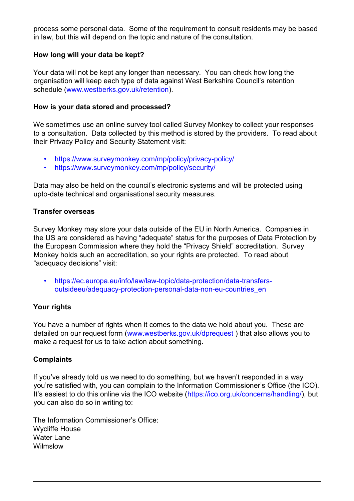process some personal data. Some of the requirement to consult residents may be based in law, but this will depend on the topic and nature of the consultation.

# **How long will your data be kept?**

Your data will not be kept any longer than necessary. You can check how long the organisation will keep each type of data against West Berkshire Council's retention schedule [\(www.westberks.gov.uk/retention\).](http://www.westberks.gov.uk/retention)

#### **How is your data stored and processed?**

We sometimes use an online survey tool called Survey Monkey to collect your responses to a consultation. Data collected by this method is stored by the providers. To read about their Privacy Policy and Security Statement visit:

- <https://www.surveymonkey.com/mp/policy/privacy-policy/>
- <https://www.surveymonkey.com/mp/policy/security/>

Data may also be held on the council's electronic systems and will be protected using upto-date technical and organisational security measures.

## **Transfer overseas**

Survey Monkey may store your data outside of the EU in North America. Companies in the US are considered as having "adequate" status for the purposes of Data Protection by the European Commission where they hold the "Privacy Shield" accreditation. Survey Monkey holds such an accreditation, so your rights are protected. To read about "adequacy decisions" visit:

• [https://ec.europa.eu/info/law/law-topic/data-protection/data-transfers](https://ec.europa.eu/info/law/law-topic/data-protection/data-transfers-outside-eu/adequacy-protection-personal-data-non-eu-countries_en)[outsideeu/adequacy-protection-personal-data-non-eu-countries\\_en](https://ec.europa.eu/info/law/law-topic/data-protection/data-transfers-outside-eu/adequacy-protection-personal-data-non-eu-countries_en) 

## **Your rights**

You have a number of rights when it comes to the data we hold about you. These are detailed on our request form [\(www.westberks.gov.uk/dprequest](http://www.westberks.gov.uk/dprequest) ) that also allows you to make a request for us to take action about something.

## **Complaints**

If you've already told us we need to do something, but we haven't responded in a way you're satisfied with, you can complain to the Information Commissioner's Office (the ICO). It's easiest to do this online via the ICO website ([https://ico.org.uk/concerns/handling/\),](https://ico.org.uk/concerns/handling/) but you can also do so in writing to:

The Information Commissioner's Office: Wycliffe House Water Lane Wilmslow